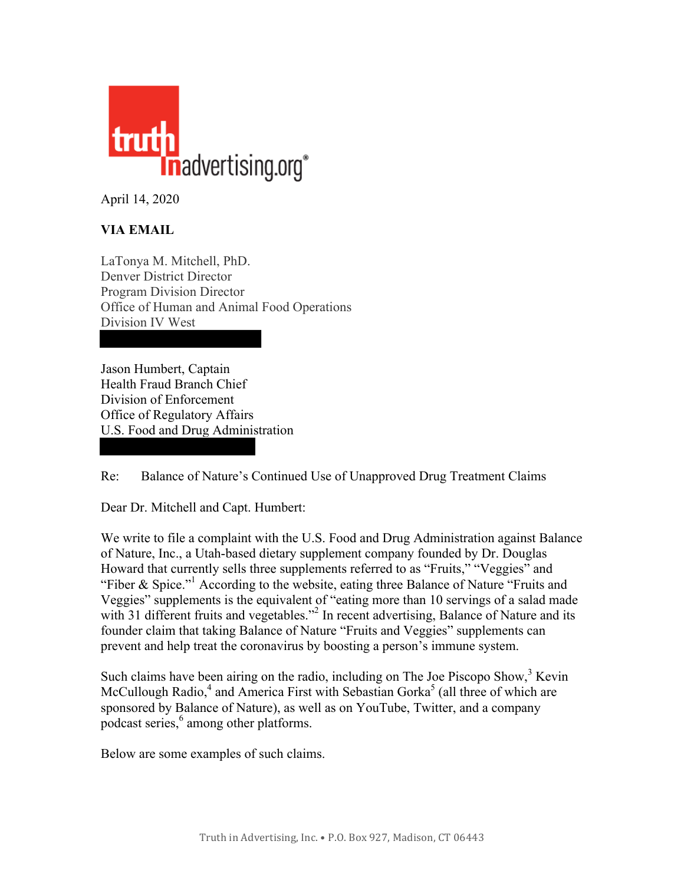

April 14, 2020

# **VIA EMAIL**

LaTonya M. Mitchell, PhD. Denver District Director Program Division Director Office of Human and Animal Food Operations Division IV West

Jason Humbert, Captain Health Fraud Branch Chief Division of Enforcement Office of Regulatory Affairs U.S. Food and Drug Administration

Re: Balance of Nature's Continued Use of Unapproved Drug Treatment Claims

Dear Dr. Mitchell and Capt. Humbert:

We write to file a complaint with the U.S. Food and Drug Administration against Balance of Nature, Inc., a Utah-based dietary supplement company founded by Dr. Douglas Howard that currently sells three supplements referred to as "Fruits," "Veggies" and "Fiber & Spice."<sup>1</sup> According to the website, eating three Balance of Nature "Fruits and Veggies" supplements is the equivalent of "eating more than 10 servings of a salad made with 31 different fruits and vegetables."<sup>2</sup> In recent advertising, Balance of Nature and its founder claim that taking Balance of Nature "Fruits and Veggies" supplements can prevent and help treat the coronavirus by boosting a person's immune system.

Such claims have been airing on the radio, including on The Joe Piscopo Show,  $3$  Kevin McCullough Radio,<sup>4</sup> and America First with Sebastian Gorka<sup>5</sup> (all three of which are sponsored by Balance of Nature), as well as on YouTube, Twitter, and a company podcast series, <sup>6</sup> among other platforms.

Below are some examples of such claims.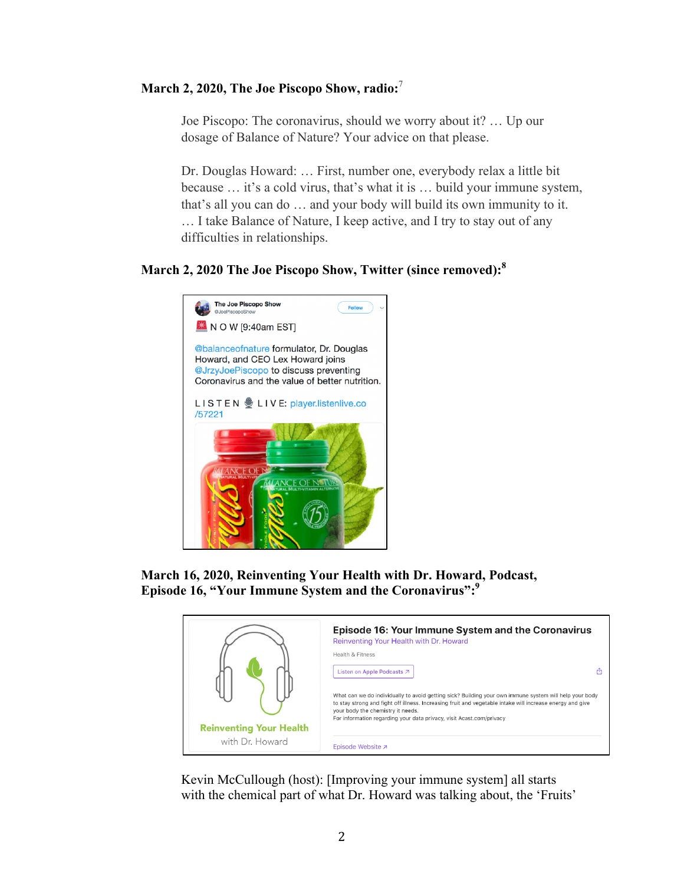## **March 2, 2020, The Joe Piscopo Show, radio:** 7

Joe Piscopo: The coronavirus, should we worry about it? … Up our dosage of Balance of Nature? Your advice on that please.

Dr. Douglas Howard: … First, number one, everybody relax a little bit because … it's a cold virus, that's what it is … build your immune system, that's all you can do … and your body will build its own immunity to it. … I take Balance of Nature, I keep active, and I try to stay out of any difficulties in relationships.

## **March 2, 2020 The Joe Piscopo Show, Twitter (since removed):<sup>8</sup>**



**March 16, 2020, Reinventing Your Health with Dr. Howard, Podcast, Episode 16, "Your Immune System and the Coronavirus":9**



Kevin McCullough (host): [Improving your immune system] all starts with the chemical part of what Dr. Howard was talking about, the 'Fruits'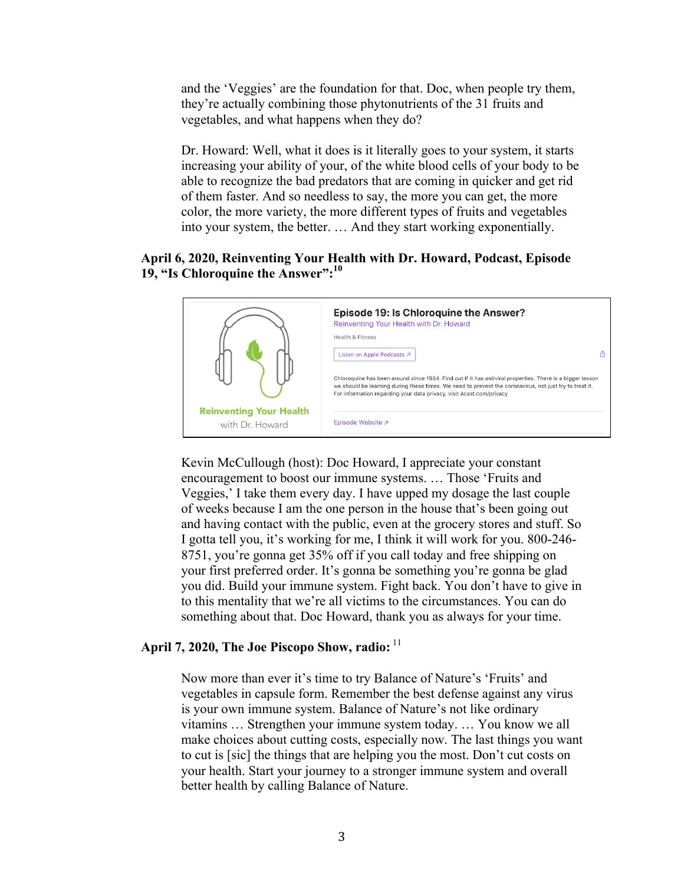and the 'Veggies' are the foundation for that. Doc, when people try them, they're actually combining those phytonutrients of the 31 fruits and vegetables, and what happens when they do?

Dr. Howard: Well, what it does is it literally goes to your system, it starts increasing your ability of your, of the white blood cells of your body to be able to recognize the bad predators that are coming in quicker and get rid of them faster. And so needless to say, the more you can get, the more color, the more variety, the more different types of fruits and vegetables into your system, the better. … And they start working exponentially.

### **April 6, 2020, Reinventing Your Health with Dr. Howard, Podcast, Episode 19, "Is Chloroquine the Answer":10**



Kevin McCullough (host): Doc Howard, I appreciate your constant encouragement to boost our immune systems. … Those 'Fruits and Veggies,' I take them every day. I have upped my dosage the last couple of weeks because I am the one person in the house that's been going out and having contact with the public, even at the grocery stores and stuff. So I gotta tell you, it's working for me, I think it will work for you. 800-246- 8751, you're gonna get 35% off if you call today and free shipping on your first preferred order. It's gonna be something you're gonna be glad you did. Build your immune system. Fight back. You don't have to give in to this mentality that we're all victims to the circumstances. You can do something about that. Doc Howard, thank you as always for your time.

#### April 7, 2020, The Joe Piscopo Show, radio: <sup>11</sup>

Now more than ever it's time to try Balance of Nature's 'Fruits' and vegetables in capsule form. Remember the best defense against any virus is your own immune system. Balance of Nature's not like ordinary vitamins … Strengthen your immune system today. … You know we all make choices about cutting costs, especially now. The last things you want to cut is [sic] the things that are helping you the most. Don't cut costs on your health. Start your journey to a stronger immune system and overall better health by calling Balance of Nature.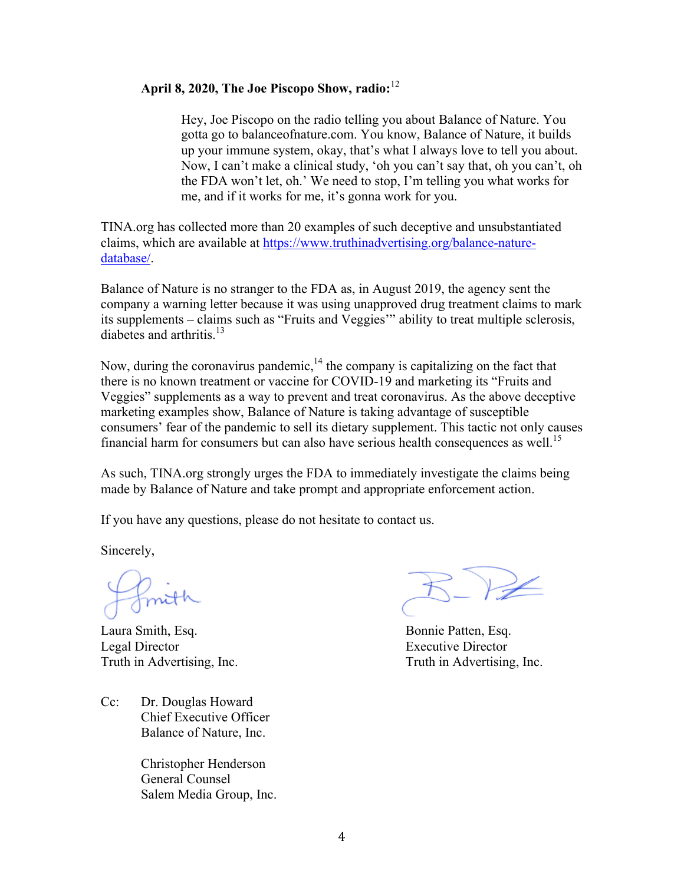### **April 8, 2020, The Joe Piscopo Show, radio:** 12

Hey, Joe Piscopo on the radio telling you about Balance of Nature. You gotta go to balanceofnature.com. You know, Balance of Nature, it builds up your immune system, okay, that's what I always love to tell you about. Now, I can't make a clinical study, 'oh you can't say that, oh you can't, oh the FDA won't let, oh.' We need to stop, I'm telling you what works for me, and if it works for me, it's gonna work for you.

TINA.org has collected more than 20 examples of such deceptive and unsubstantiated claims, which are available at [https://www.truthinadvertising.org/balance-nature](https://www.truthinadvertising.org/balance-nature-database/)[database/.](https://www.truthinadvertising.org/balance-nature-database/)

Balance of Nature is no stranger to the FDA as, in August 2019, the agency sent the company a warning letter because it was using unapproved drug treatment claims to mark its supplements – claims such as "Fruits and Veggies'" ability to treat multiple sclerosis, diabetes and arthritis. $13$ 

Now, during the coronavirus pandemic,  $14$  the company is capitalizing on the fact that there is no known treatment or vaccine for COVID-19 and marketing its "Fruits and Veggies" supplements as a way to prevent and treat coronavirus. As the above deceptive marketing examples show, Balance of Nature is taking advantage of susceptible consumers' fear of the pandemic to sell its dietary supplement. This tactic not only causes financial harm for consumers but can also have serious health consequences as well.<sup>15</sup>

As such, TINA.org strongly urges the FDA to immediately investigate the claims being made by Balance of Nature and take prompt and appropriate enforcement action.

If you have any questions, please do not hesitate to contact us.

Sincerely,

Laura Smith, Esq. Bonnie Patten, Esq. Legal Director Executive Director Truth in Advertising, Inc. Truth in Advertising, Inc.

Cc: Dr. Douglas Howard Chief Executive Officer Balance of Nature, Inc.

> Christopher Henderson General Counsel Salem Media Group, Inc.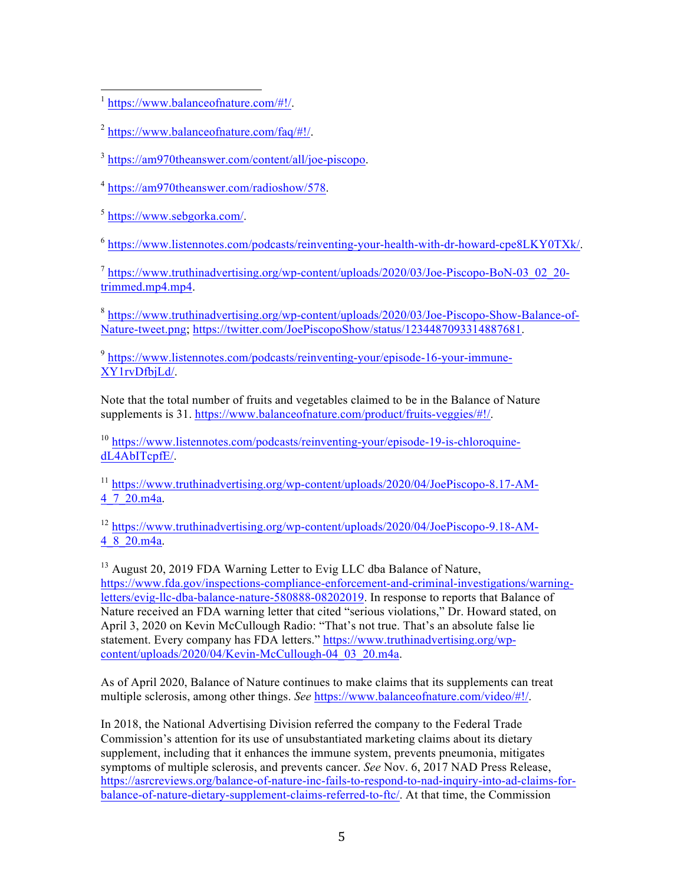[https://www.balanceofnature.com/#!/.](https://www.balanceofnature.com/#!/)  $\overline{a}$ 

 $^{2}$  [https://www.balanceofnature.com/faq/#!/.](https://www.balanceofnature.com/faq/#!/)

<sup>3</sup> [https://am970theanswer.com/content/all/joe-piscopo.](https://am970theanswer.com/content/all/joe-piscopo)

<sup>4</sup> [https://am970theanswer.com/radioshow/578.](https://am970theanswer.com/radioshow/578)

<sup>5</sup> [https://www.sebgorka.com/.](https://www.sebgorka.com/)

 $^6$  [https://www.listennotes.com/podcasts/reinventing-your-health-with-dr-howard-cpe8LKY0TXk/.](https://www.listennotes.com/podcasts/reinventing-your-health-with-dr-howard-cpe8LKY0TXk/)

 $^7$  https://www.truthinadvertising.org/wp-content/uploads/2020/03/Joe-Piscopo-BoN-03 02 20trimmed.mp4.mp4.

<sup>8</sup> [https://www.truthinadvertising.org/wp-content/uploads/2020/03/Joe-Piscopo-Show-Balance-of-](https://www.truthinadvertising.org/wp-content/uploads/2020/03/Joe-Piscopo-Show-Balance-of-Nature-tweet.png)[Nature-tweet.png;](https://www.truthinadvertising.org/wp-content/uploads/2020/03/Joe-Piscopo-Show-Balance-of-Nature-tweet.png) [https://twitter.com/JoePiscopoShow/status/1234487093314887681.](https://twitter.com/JoePiscopoShow/status/1234487093314887681)

<sup>9</sup> [https://www.listennotes.com/podcasts/reinventing-your/episode-16-your-immune-](https://www.listennotes.com/podcasts/reinventing-your/episode-16-your-immune-XY1rvDfbjLd/)XY1rvDfbjLd/.

Note that the total number of fruits and vegetables claimed to be in the Balance of Nature supplements is 31. [https://www.balanceofnature.com/product/fruits-veggies/#!/.](https://www.balanceofnature.com/product/fruits-veggies/#!/)

<sup>10</sup> [https://www.listennotes.com/podcasts/reinventing-your/episode-19-is-chloroquine](https://www.listennotes.com/podcasts/reinventing-your/episode-19-is-chloroquine-dL4AbITcpfE/)dL4AbITcpfE/.

<sup>11</sup> [https://www.truthinadvertising.org/wp-content/uploads/2020/04/JoePiscopo-8.17-AM-](https://www.truthinadvertising.org/wp-content/uploads/2020/04/JoePiscopo-8.17-AM-4_7_20.m4a)4\_7\_20.m4a.

<sup>12</sup> [https://www.truthinadvertising.org/wp-content/uploads/2020/04/JoePiscopo-9.18-AM-](https://www.truthinadvertising.org/wp-content/uploads/2020/04/JoePiscopo-9.18-AM-4_8_20.m4a)4\_8\_20.m4a.

<sup>13</sup> August 20, 2019 FDA Warning Letter to Evig LLC dba Balance of Nature. [https://www.fda.gov/inspections-compliance-enforcement-and-criminal-investigations/warning](https://www.fda.gov/inspections-compliance-enforcement-and-criminal-investigations/warning-letters/evig-llc-dba-balance-nature-580888-08202019)[letters/evig-llc-dba-balance-nature-580888-08202019.](https://www.fda.gov/inspections-compliance-enforcement-and-criminal-investigations/warning-letters/evig-llc-dba-balance-nature-580888-08202019) In response to reports that Balance of Nature received an FDA warning letter that cited "serious violations," Dr. Howard stated, on April 3, 2020 on Kevin McCullough Radio: "That's not true. That's an absolute false lie statement. Every company has FDA letters." [https://www.truthinadvertising.org/wp](https://www.truthinadvertising.org/wp-content/uploads/2020/04/Kevin-McCullough-04_03_20.m4a)[content/uploads/2020/04/Kevin-McCullough-04\\_03\\_20.m4a.](https://www.truthinadvertising.org/wp-content/uploads/2020/04/Kevin-McCullough-04_03_20.m4a)

As of April 2020, Balance of Nature continues to make claims that its supplements can treat multiple sclerosis, among other things. *See* [https://www.balanceofnature.com/video/#!/.](https://www.balanceofnature.com/video/#!/)

In 2018, the National Advertising Division referred the company to the Federal Trade Commission's attention for its use of unsubstantiated marketing claims about its dietary supplement, including that it enhances the immune system, prevents pneumonia, mitigates symptoms of multiple sclerosis, and prevents cancer. *See* Nov. 6, 2017 NAD Press Release, [https://asrcreviews.org/balance-of-nature-inc-fails-to-respond-to-nad-inquiry-into-ad-claims-for](https://asrcreviews.org/balance-of-nature-inc-fails-to-respond-to-nad-inquiry-into-ad-claims-for-balance-of-nature-dietary-supplement-claims-referred-to-ftc/)[balance-of-nature-dietary-supplement-claims-referred-to-ftc/.](https://asrcreviews.org/balance-of-nature-inc-fails-to-respond-to-nad-inquiry-into-ad-claims-for-balance-of-nature-dietary-supplement-claims-referred-to-ftc/) At that time, the Commission